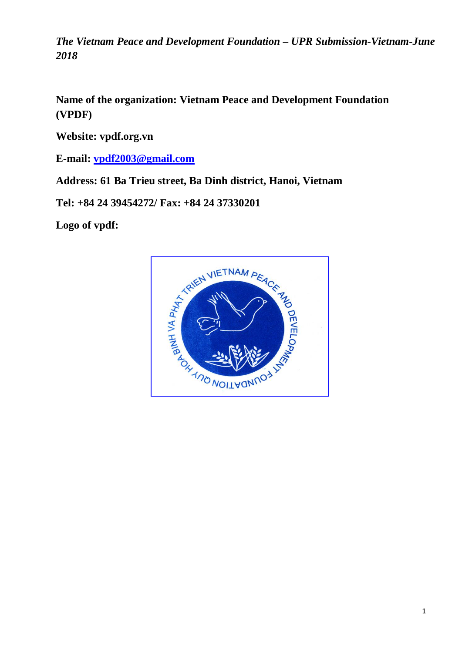*The Vietnam Peace and Development Foundation – UPR Submission-Vietnam-June 2018*

**Name of the organization: Vietnam Peace and Development Foundation (VPDF)**

**Website: vpdf.org.vn**

**E-mail: [vpdf2003@gmail.com](mailto:vpdf2003@gmail.com)**

**Address: 61 Ba Trieu street, Ba Dinh district, Hanoi, Vietnam**

**Tel: +84 24 39454272/ Fax: +84 24 37330201**

**Logo of vpdf:**

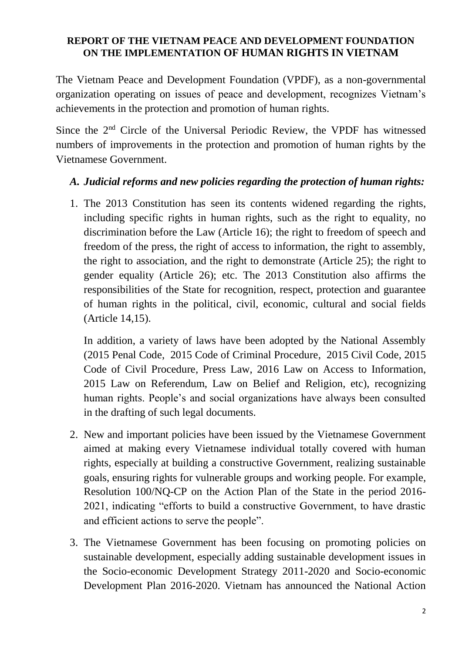## **REPORT OF THE VIETNAM PEACE AND DEVELOPMENT FOUNDATION ON THE IMPLEMENTATION OF HUMAN RIGHTS IN VIETNAM**

The Vietnam Peace and Development Foundation (VPDF), as a non-governmental organization operating on issues of peace and development, recognizes Vietnam's achievements in the protection and promotion of human rights.

Since the 2nd Circle of the Universal Periodic Review, the VPDF has witnessed numbers of improvements in the protection and promotion of human rights by the Vietnamese Government.

## *A. Judicial reforms and new policies regarding the protection of human rights:*

1. The 2013 Constitution has seen its contents widened regarding the rights, including specific rights in human rights, such as the right to equality, no discrimination before the Law (Article 16); the right to freedom of speech and freedom of the press, the right of access to information, the right to assembly, the right to association, and the right to demonstrate (Article 25); the right to gender equality (Article 26); etc. The 2013 Constitution also affirms the responsibilities of the State for recognition, respect, protection and guarantee of human rights in the political, civil, economic, cultural and social fields (Article 14,15).

In addition, a variety of laws have been adopted by the National Assembly (2015 Penal Code, 2015 Code of Criminal Procedure, 2015 Civil Code, 2015 Code of Civil Procedure, Press Law, 2016 Law on Access to Information, 2015 Law on Referendum, Law on Belief and Religion, etc), recognizing human rights. People's and social organizations have always been consulted in the drafting of such legal documents.

- 2. New and important policies have been issued by the Vietnamese Government aimed at making every Vietnamese individual totally covered with human rights, especially at building a constructive Government, realizing sustainable goals, ensuring rights for vulnerable groups and working people. For example, Resolution 100/NQ-CP on the Action Plan of the State in the period 2016- 2021, indicating "efforts to build a constructive Government, to have drastic and efficient actions to serve the people".
- 3. The Vietnamese Government has been focusing on promoting policies on sustainable development, especially adding sustainable development issues in the Socio-economic Development Strategy 2011-2020 and Socio-economic Development Plan 2016-2020. Vietnam has announced the National Action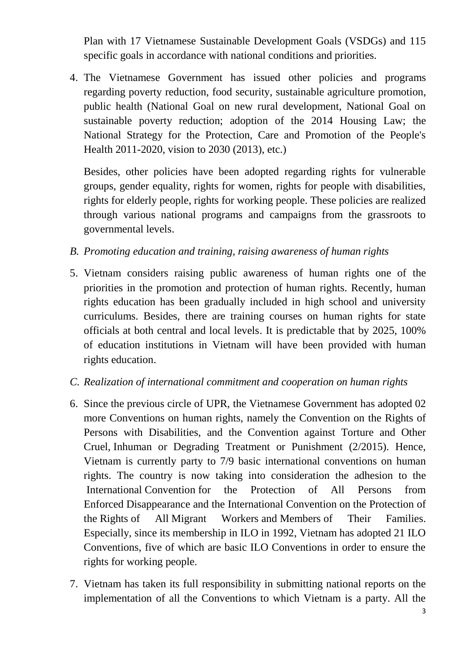Plan with 17 Vietnamese Sustainable Development Goals (VSDGs) and 115 specific goals in accordance with national conditions and priorities.

4. The Vietnamese Government has issued other policies and programs regarding poverty reduction, food security, sustainable agriculture promotion, public health (National Goal on new rural development, National Goal on sustainable poverty reduction; adoption of the 2014 Housing Law; the National Strategy for the Protection, Care and Promotion of the People's Health 2011-2020, vision to 2030 (2013), etc.)

Besides, other policies have been adopted regarding rights for vulnerable groups, gender equality, rights for women, rights for people with disabilities, rights for elderly people, rights for working people. These policies are realized through various national programs and campaigns from the grassroots to governmental levels.

- *B. Promoting education and training, raising awareness of human rights*
- 5. Vietnam considers raising public awareness of human rights one of the priorities in the promotion and protection of human rights. Recently, human rights education has been gradually included in high school and university curriculums. Besides, there are training courses on human rights for state officials at both central and local levels. It is predictable that by 2025, 100% of education institutions in Vietnam will have been provided with human rights education.
- *C. Realization of international commitment and cooperation on human rights*
- 6. Since the previous circle of UPR, the Vietnamese Government has adopted 02 more Conventions on human rights, namely the Convention on the Rights of Persons with Disabilities, and the Convention against Torture and Other Cruel, Inhuman or Degrading Treatment or Punishment (2/2015). Hence, Vietnam is currently party to 7/9 basic international conventions on human rights. The country is now taking into consideration the adhesion to the International Convention for the Protection of All Persons from Enforced Disappearance and the International Convention on the Protection of the Rights of All Migrant Workers and Members of Their Families. Especially, since its membership in ILO in 1992, Vietnam has adopted 21 ILO Conventions, five of which are basic ILO Conventions in order to ensure the rights for working people.
- 7. Vietnam has taken its full responsibility in submitting national reports on the implementation of all the Conventions to which Vietnam is a party. All the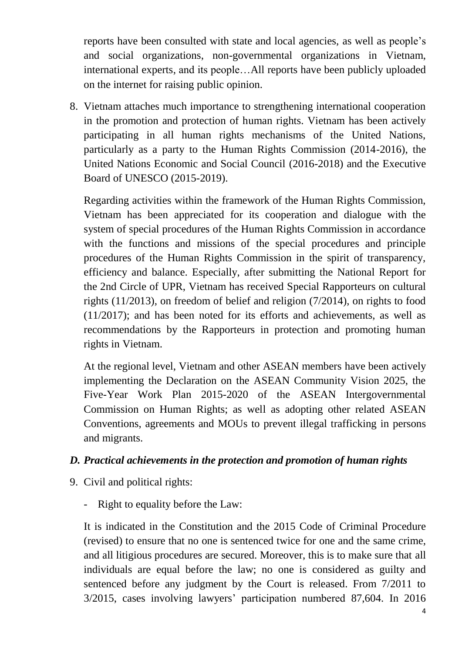reports have been consulted with state and local agencies, as well as people's and social organizations, non-governmental organizations in Vietnam, international experts, and its people…All reports have been publicly uploaded on the internet for raising public opinion.

8. Vietnam attaches much importance to strengthening international cooperation in the promotion and protection of human rights. Vietnam has been actively participating in all human rights mechanisms of the United Nations, particularly as a party to the Human Rights Commission (2014-2016), the United Nations Economic and Social Council (2016-2018) and the Executive Board of UNESCO (2015-2019).

Regarding activities within the framework of the Human Rights Commission, Vietnam has been appreciated for its cooperation and dialogue with the system of special procedures of the Human Rights Commission in accordance with the functions and missions of the special procedures and principle procedures of the Human Rights Commission in the spirit of transparency, efficiency and balance. Especially, after submitting the National Report for the 2nd Circle of UPR, Vietnam has received Special Rapporteurs on cultural rights (11/2013), on freedom of belief and religion (7/2014), on rights to food (11/2017); and has been noted for its efforts and achievements, as well as recommendations by the Rapporteurs in protection and promoting human rights in Vietnam.

At the regional level, Vietnam and other ASEAN members have been actively implementing the Declaration on the ASEAN Community Vision 2025, the Five-Year Work Plan 2015-2020 of the ASEAN Intergovernmental Commission on Human Rights; as well as adopting other related ASEAN Conventions, agreements and MOUs to prevent illegal trafficking in persons and migrants.

## *D. Practical achievements in the protection and promotion of human rights*

- 9. Civil and political rights:
	- Right to equality before the Law:

It is indicated in the Constitution and the 2015 Code of Criminal Procedure (revised) to ensure that no one is sentenced twice for one and the same crime, and all litigious procedures are secured. Moreover, this is to make sure that all individuals are equal before the law; no one is considered as guilty and sentenced before any judgment by the Court is released. From 7/2011 to 3/2015, cases involving lawyers' participation numbered 87,604. In 2016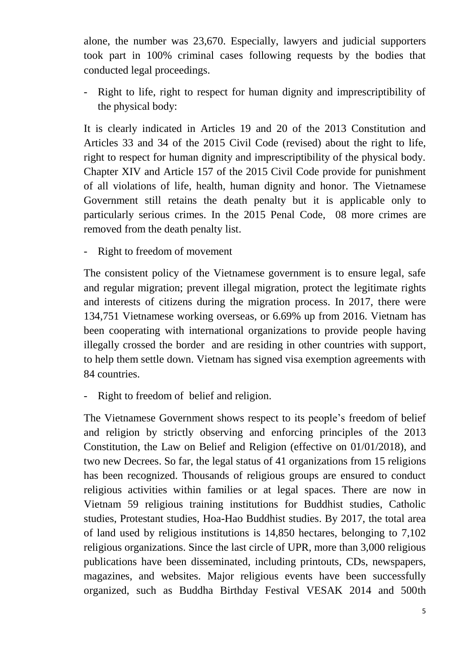alone, the number was 23,670. Especially, lawyers and judicial supporters took part in 100% criminal cases following requests by the bodies that conducted legal proceedings.

Right to life, right to respect for human dignity and imprescriptibility of the physical body:

It is clearly indicated in Articles 19 and 20 of the 2013 Constitution and Articles 33 and 34 of the 2015 Civil Code (revised) about the right to life, right to respect for human dignity and imprescriptibility of the physical body. Chapter XIV and Article 157 of the 2015 Civil Code provide for punishment of all violations of life, health, human dignity and honor. The Vietnamese Government still retains the death penalty but it is applicable only to particularly serious crimes. In the 2015 Penal Code, 08 more crimes are removed from the death penalty list.

Right to freedom of movement

The consistent policy of the Vietnamese government is to ensure legal, safe and regular migration; prevent illegal migration, protect the legitimate rights and interests of citizens during the migration process. In 2017, there were 134,751 Vietnamese working overseas, or 6.69% up from 2016. Vietnam has been cooperating with international organizations to provide people having illegally crossed the border and are residing in other countries with support, to help them settle down. Vietnam has signed visa exemption agreements with 84 countries.

- Right to freedom of belief and religion.

The Vietnamese Government shows respect to its people's freedom of belief and religion by strictly observing and enforcing principles of the 2013 Constitution, the Law on Belief and Religion (effective on 01/01/2018), and two new Decrees. So far, the legal status of 41 organizations from 15 religions has been recognized. Thousands of religious groups are ensured to conduct religious activities within families or at legal spaces. There are now in Vietnam 59 religious training institutions for Buddhist studies, Catholic studies, Protestant studies, Hoa-Hao Buddhist studies. By 2017, the total area of land used by religious institutions is 14,850 hectares, belonging to 7,102 religious organizations. Since the last circle of UPR, more than 3,000 religious publications have been disseminated, including printouts, CDs, newspapers, magazines, and websites. Major religious events have been successfully organized, such as Buddha Birthday Festival VESAK 2014 and 500th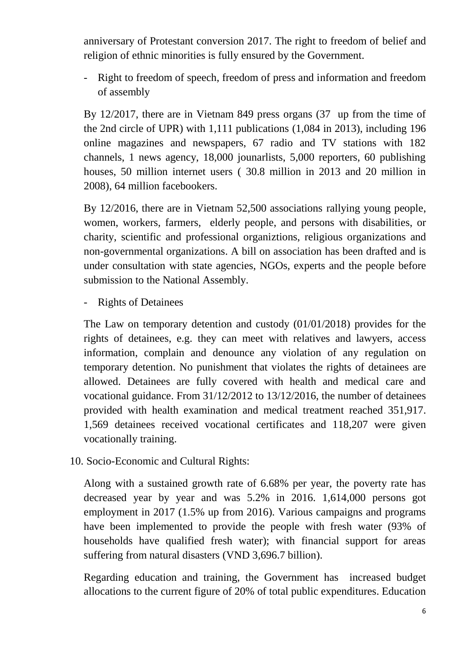anniversary of Protestant conversion 2017. The right to freedom of belief and religion of ethnic minorities is fully ensured by the Government.

- Right to freedom of speech, freedom of press and information and freedom of assembly

By 12/2017, there are in Vietnam 849 press organs (37 up from the time of the 2nd circle of UPR) with 1,111 publications (1,084 in 2013), including 196 online magazines and newspapers, 67 radio and TV stations with 182 channels, 1 news agency, 18,000 jounarlists, 5,000 reporters, 60 publishing houses, 50 million internet users ( 30.8 million in 2013 and 20 million in 2008), 64 million facebookers.

By 12/2016, there are in Vietnam 52,500 associations rallying young people, women, workers, farmers, elderly people, and persons with disabilities, or charity, scientific and professional organiztions, religious organizations and non-governmental organizations. A bill on association has been drafted and is under consultation with state agencies, NGOs, experts and the people before submission to the National Assembly.

- Rights of Detainees

The Law on temporary detention and custody (01/01/2018) provides for the rights of detainees, e.g. they can meet with relatives and lawyers, access information, complain and denounce any violation of any regulation on temporary detention. No punishment that violates the rights of detainees are allowed. Detainees are fully covered with health and medical care and vocational guidance. From 31/12/2012 to 13/12/2016, the number of detainees provided with health examination and medical treatment reached 351,917. 1,569 detainees received vocational certificates and 118,207 were given vocationally training.

10. Socio-Economic and Cultural Rights:

Along with a sustained growth rate of 6.68% per year, the poverty rate has decreased year by year and was 5.2% in 2016. 1,614,000 persons got employment in 2017 (1.5% up from 2016). Various campaigns and programs have been implemented to provide the people with fresh water (93% of households have qualified fresh water); with financial support for areas suffering from natural disasters (VND 3,696.7 billion).

Regarding education and training, the Government has increased budget allocations to the current figure of 20% of total public expenditures. Education